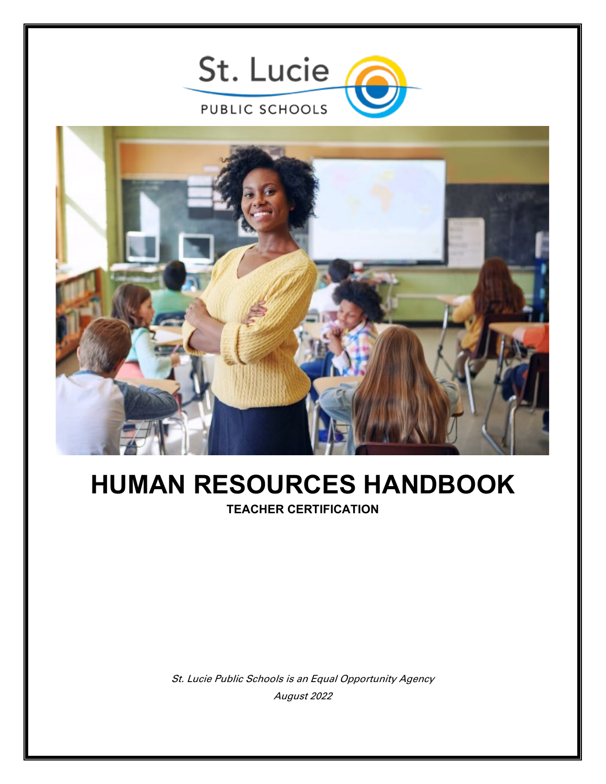

## **HUMAN RESOURCES HANDBOOK TEACHER CERTIFICATION**

St. Lucie Public Schools is an Equal Opportunity Agency August 2022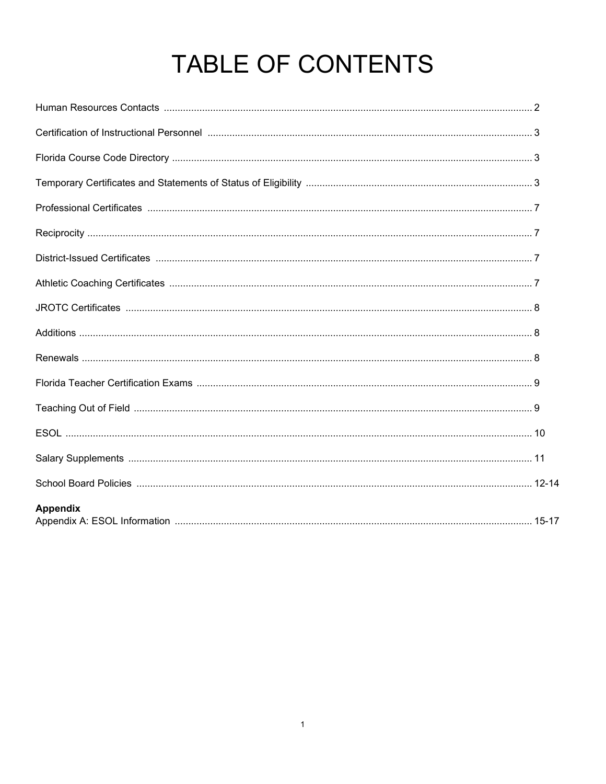# TABLE OF CONTENTS

| <b>Appendix</b> |  |
|-----------------|--|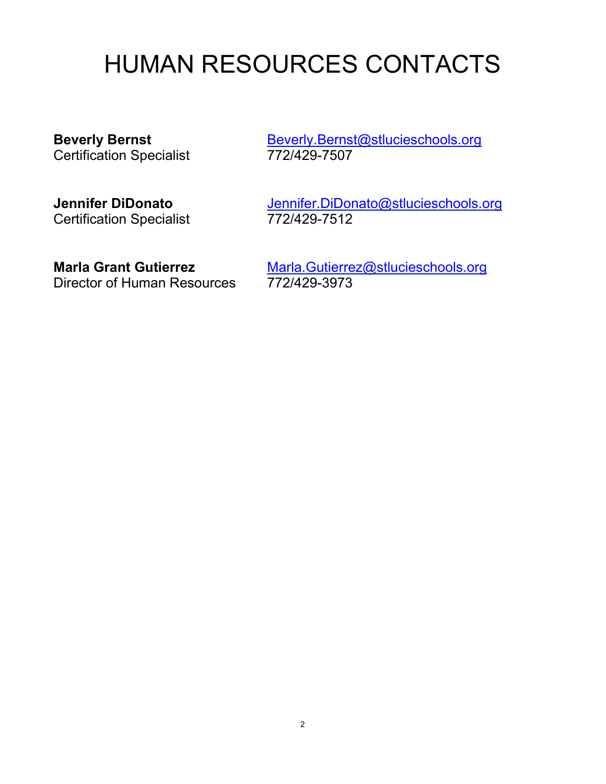## HUMAN RESOURCES CONTACTS

Certification Specialist

**Beverly Bernst**<br>Certification Specialist<br> **[Beverly.Bernst@stlucieschools.org](mailto:Beverly.Bernst@stlucieschools.org)**<br>
772/429-7507

# **Certification Specialist**

**Jennifer DiDonato**<br>
Certification Specialist<br>
772/429-7512

Director of Human Resources

**Marla Grant Gutierrez**<br>Director of Human Resources 772/429-3973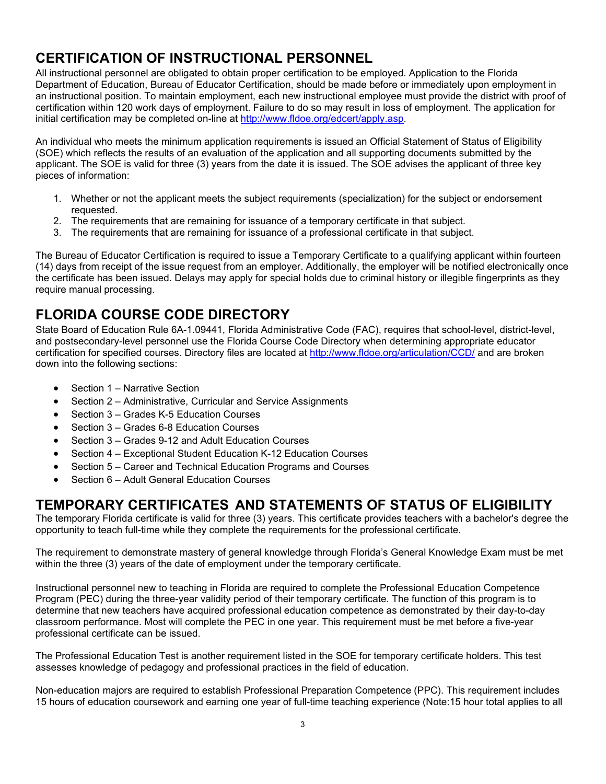## **CERTIFICATION OF INSTRUCTIONAL PERSONNEL**

All instructional personnel are obligated to obtain proper certification to be employed. Application to the Florida Department of Education, Bureau of Educator Certification, should be made before or immediately upon employment in an instructional position. To maintain employment, each new instructional employee must provide the district with proof of certification within 120 work days of employment. Failure to do so may result in loss of employment. The application for initial certification may be completed on-line at [http://www.fldoe.org/edcert/apply.asp.](http://www.fldoe.org/edcert/apply.asp)

An individual who meets the minimum application requirements is issued an Official Statement of Status of Eligibility (SOE) which reflects the results of an evaluation of the application and all supporting documents submitted by the applicant. The SOE is valid for three (3) years from the date it is issued. The SOE advises the applicant of three key pieces of information:

- 1. Whether or not the applicant meets the subject requirements (specialization) for the subject or endorsement requested.
- 2. The requirements that are remaining for issuance of a temporary certificate in that subject.
- 3. The requirements that are remaining for issuance of a professional certificate in that subject.

The Bureau of Educator Certification is required to issue a Temporary Certificate to a qualifying applicant within fourteen (14) days from receipt of the issue request from an employer. Additionally, the employer will be notified electronically once the certificate has been issued. Delays may apply for special holds due to criminal history or illegible fingerprints as they require manual processing.

## **FLORIDA COURSE CODE DIRECTORY**

State Board of Education Rule 6A-1.09441, Florida Administrative Code (FAC), requires that school-level, district-level, and postsecondary-level personnel use the Florida Course Code Directory when determining appropriate educator certification for specified courses. Directory files are located at<http://www.fldoe.org/articulation/CCD/> and are broken down into the following sections:

- Section 1 Narrative Section
- Section 2 Administrative, Curricular and Service Assignments
- Section 3 Grades K-5 Education Courses
- Section 3 Grades 6-8 Education Courses
- Section 3 Grades 9-12 and Adult Education Courses
- Section 4 Exceptional Student Education K-12 Education Courses
- Section 5 Career and Technical Education Programs and Courses
- Section 6 Adult General Education Courses

## **TEMPORARY CERTIFICATES AND STATEMENTS OF STATUS OF ELIGIBILITY**

The temporary Florida certificate is valid for three (3) years. This certificate provides teachers with a bachelor's degree the opportunity to teach full-time while they complete the requirements for the professional certificate.

The requirement to demonstrate mastery of general knowledge through Florida's General Knowledge Exam must be met within the three (3) years of the date of employment under the temporary certificate.

Instructional personnel new to teaching in Florida are required to complete the Professional Education Competence Program (PEC) during the three-year validity period of their temporary certificate. The function of this program is to determine that new teachers have acquired professional education competence as demonstrated by their day-to-day classroom performance. Most will complete the PEC in one year. This requirement must be met before a five-year professional certificate can be issued.

The Professional Education Test is another requirement listed in the SOE for temporary certificate holders. This test assesses knowledge of pedagogy and professional practices in the field of education.

Non-education majors are required to establish Professional Preparation Competence (PPC). This requirement includes 15 hours of education coursework and earning one year of full-time teaching experience (Note:15 hour total applies to all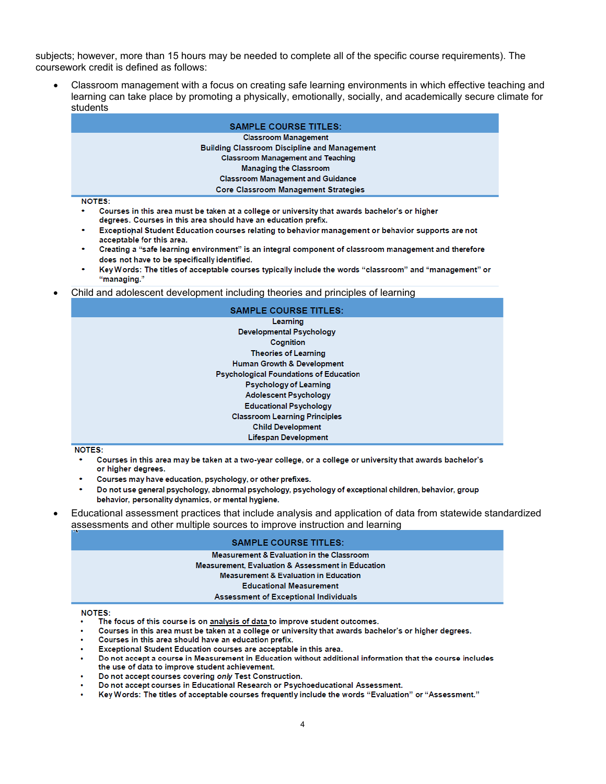subjects; however, more than 15 hours may be needed to complete all of the specific course requirements). The coursework credit is defined as follows:

Classroom management with a focus on creating safe learning environments in which effective teaching and learning can take place by promoting a physically, emotionally, socially, and academically secure climate for students

| <b>SAMPLE COURSE TITLES:</b>                        |
|-----------------------------------------------------|
|                                                     |
| <b>Classroom Management</b>                         |
| <b>Building Classroom Discipline and Management</b> |
| <b>Classroom Management and Teaching</b>            |
| <b>Managing the Classroom</b>                       |
| <b>Classroom Management and Guidance</b>            |
| <b>Core Classroom Management Strategies</b>         |
| <b>NOTES:</b>                                       |
| .<br>.<br>$-1$ $-1$ $-1$ $-1$ $-1$ $-1$<br>$\sim$   |

- Courses in this area must be taken at a college or university that awards bachelor's or higher degrees. Courses in this area should have an education prefix.
- Exceptional Student Education courses relating to behavior management or behavior supports are not acceptable for this area.
- Creating a "safe learning environment" is an integral component of classroom management and therefore does not have to be specifically identified.
- Key Words: The titles of acceptable courses typically include the words "classroom" and "management" or "managing."
- Child and adolescent development including theories and principles of learning

| <b>SAMPLE COURSE TITLES:</b>                  |
|-----------------------------------------------|
| Learning                                      |
| <b>Developmental Psychology</b>               |
| Cognition                                     |
| <b>Theories of Learning</b>                   |
| <b>Human Growth &amp; Development</b>         |
| <b>Psychological Foundations of Education</b> |
| <b>Psychology of Learning</b>                 |
| <b>Adolescent Psychology</b>                  |
| <b>Educational Psychology</b>                 |
| <b>Classroom Learning Principles</b>          |
| <b>Child Development</b>                      |
| <b>Lifespan Development</b>                   |

**NOTES:** 

- Courses in this area may be taken at a two-year college, or a college or university that awards bachelor's or higher degrees.
- Courses may have education, psychology, or other prefixes.
- Do not use general psychology, abnormal psychology, psychology of exceptional children, behavior, group behavior, personality dynamics, or mental hygiene.
- Educational assessment practices that include analysis and application of data from statewide standardized assessments and other multiple sources to improve instruction and learning

#### **SAMPLE COURSE TITLES:**

#### Measurement & Evaluation in the Classroom Measurement, Evaluation & Assessment in Education

#### **Measurement & Evaluation in Education**

#### **Educational Measurement**

#### Assessment of Exceptional Individuals

**NOTES:** 

- The focus of this course is on analysis of data to improve student outcomes.
- Courses in this area must be taken at a college or university that awards bachelor's or higher degrees.
- Courses in this area should have an education prefix.
- Exceptional Student Education courses are acceptable in this area.
- Do not accept a course in Measurement in Education without additional information that the course includes the use of data to improve student achievement.
- Do not accept courses covering only Test Construction.
- Do not accept courses in Educational Research or Psychoeducational Assessment.
- Key Words: The titles of acceptable courses frequently include the words "Evaluation" or "Assessment."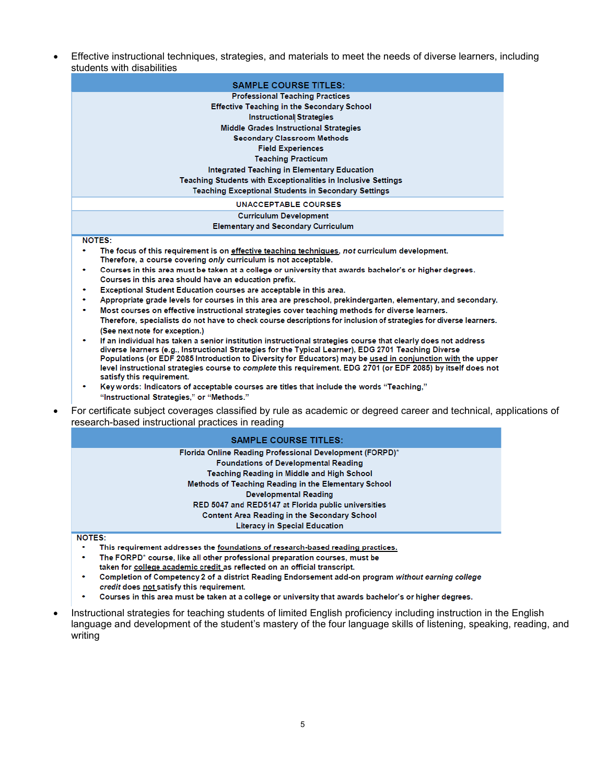Effective instructional techniques, strategies, and materials to meet the needs of diverse learners, including students with disabilities

| <b>SAMPLE COURSE TITLES:</b>                                                                   |
|------------------------------------------------------------------------------------------------|
| <b>Professional Teaching Practices</b>                                                         |
| <b>Effective Teaching in the Secondary School</b>                                              |
| <b>Instructional Strategies</b>                                                                |
| Middle Grades Instructional Strategies                                                         |
| <b>Secondary Classroom Methods</b>                                                             |
| <b>Field Experiences</b>                                                                       |
| <b>Teaching Practicum</b>                                                                      |
| Integrated Teaching in Elementary Education                                                    |
| <b>Teaching Students with Exceptionalities in Inclusive Settings</b>                           |
| <b>Teaching Exceptional Students in Secondary Settings</b>                                     |
| UNACCEPTABLE COURSES                                                                           |
| <b>Curriculum Development</b>                                                                  |
| <b>Elementary and Secondary Curriculum</b>                                                     |
| <b>NOTES:</b>                                                                                  |
| The focus of this requirement is on effective teaching techniques, not curriculum development. |

- Therefore, a course covering only curriculum is not acceptable.
- Courses in this area must be taken at a college or university that awards bachelor's or higher degrees. Courses in this area should have an education prefix.
- Exceptional Student Education courses are acceptable in this area.
- Appropriate grade levels for courses in this area are preschool, prekindergarten, elementary, and secondary.
- Most courses on effective instructional strategies cover teaching methods for diverse learners. Therefore, specialists do not have to check course descriptions for inclusion of strategies for diverse learners. (See next note for exception.)
- If an individual has taken a senior institution instructional strategies course that clearly does not address diverse learners (e.g., Instructional Strategies for the Typical Learner), EDG 2701 Teaching Diverse Populations (or EDF 2085 Introduction to Diversity for Educators) may be used in conjunction with the upper level instructional strategies course to complete this requirement. EDG 2701 (or EDF 2085) by itself does not satisfy this requirement.
- $\bullet$ Key words: Indicators of acceptable courses are titles that include the words "Teaching," "Instructional Strategies," or "Methods."
- For certificate subject coverages classified by rule as academic or degreed career and technical, applications of research-based instructional practices in reading

| <b>SAMPLE COURSE TITLES:</b>                             |
|----------------------------------------------------------|
| Florida Online Reading Professional Development (FORPD)* |
| <b>Foundations of Developmental Reading</b>              |
| Teaching Reading in Middle and High School               |
| Methods of Teaching Reading in the Elementary School     |
| Developmental Reading                                    |
| RED 5047 and RED5147 at Florida public universities      |
| <b>Content Area Reading in the Secondary School</b>      |
| <b>Literacy in Special Education</b>                     |

NOTES:

- This requirement addresses the foundations of research-based reading practices.
- The FORPD\* course, like all other professional preparation courses, must be
- taken for college academic credit as reflected on an official transcript.  $\bullet$ Completion of Competency 2 of a district Reading Endorsement add-on program without earning college
- credit does not satisfy this requirement.
- Courses in this area must be taken at a college or university that awards bachelor's or higher degrees.
- Instructional strategies for teaching students of limited English proficiency including instruction in the English language and development of the student's mastery of the four language skills of listening, speaking, reading, and writing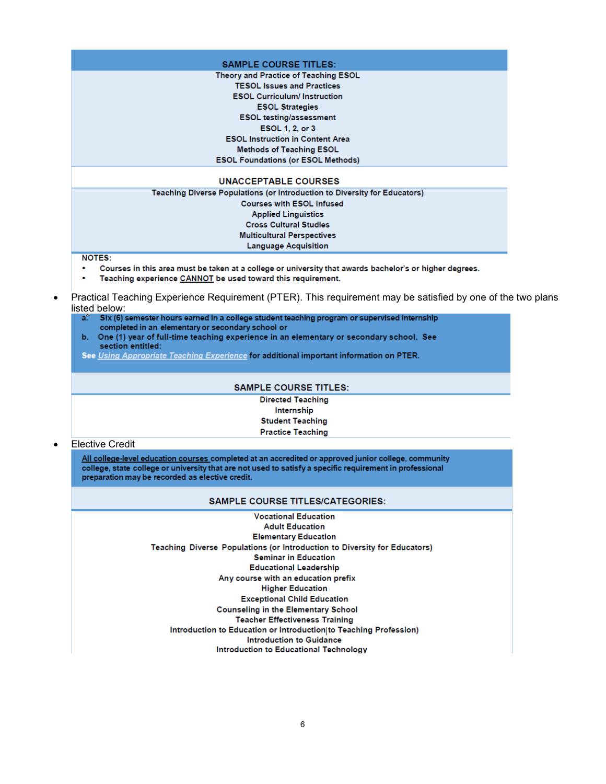| <b>SAMPLE COURSE TITLES:</b>              |  |
|-------------------------------------------|--|
| Theory and Practice of Teaching ESOL      |  |
| <b>TESOL Issues and Practices</b>         |  |
| <b>ESOL Curriculum/Instruction</b>        |  |
| <b>ESOL Strategies</b>                    |  |
| <b>ESOL testing/assessment</b>            |  |
| ESOL 1, 2, or 3                           |  |
| <b>ESOL Instruction in Content Area</b>   |  |
| <b>Methods of Teaching ESOL</b>           |  |
| <b>ESOL Foundations (or ESOL Methods)</b> |  |

#### **UNACCEPTABLE COURSES**

Teaching Diverse Populations (or Introduction to Diversity for Educators) **Courses with ESOL infused Applied Linguistics Cross Cultural Studies Multicultural Perspectives Language Acquisition** 

**NOTES:** 

- Courses in this area must be taken at a college or university that awards bachelor's or higher degrees.
- Teaching experience CANNOT be used toward this requirement.
- Practical Teaching Experience Requirement (PTER). This requirement may be satisfied by one of the two plans listed below:
	- Six (6) semester hours earned in a college student teaching program or supervised internship a. completed in an elementary or secondary school or
	- b. One (1) year of full-time teaching experience in an elementary or secondary school. See section entitled:
	- See Using Appropriate Teaching Experience for additional important information on PTER.

#### **SAMPLE COURSE TITLES:**

**Directed Teaching** Internship **Student Teaching Practice Teaching** 

#### **Elective Credit**

All college-level education courses completed at an accredited or approved junior college, community college, state college or university that are not used to satisfy a specific requirement in professional preparation may be recorded as elective credit.

#### **SAMPLE COURSE TITLES/CATEGORIES:**

**Vocational Education Adult Education Elementary Education** Teaching Diverse Populations (or Introduction to Diversity for Educators) **Seminar in Education Educational Leadership** Any course with an education prefix **Higher Education Exceptional Child Education Counseling in the Elementary School Teacher Effectiveness Training** Introduction to Education or Introduction to Teaching Profession) **Introduction to Guidance** Introduction to Educational Technology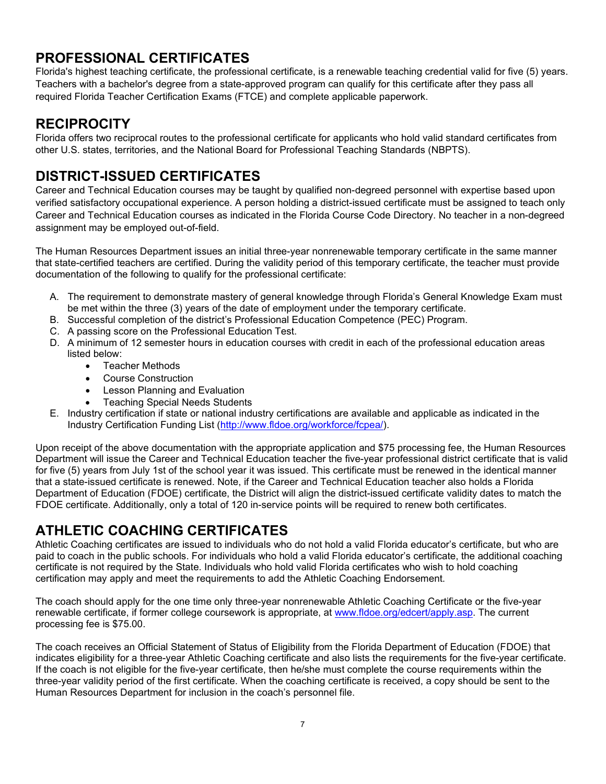## **PROFESSIONAL CERTIFICATES**

Florida's highest teaching certificate, the professional certificate, is a renewable teaching credential valid for five (5) years. Teachers with a bachelor's degree from a state-approved program can qualify for this certificate after they pass all required Florida Teacher Certification Exams (FTCE) and complete applicable paperwork.

## **RECIPROCITY**

Florida offers two reciprocal routes to the professional certificate for applicants who hold valid standard certificates from other U.S. states, territories, and the National Board for Professional Teaching Standards (NBPTS).

## **DISTRICT-ISSUED CERTIFICATES**

Career and Technical Education courses may be taught by qualified non-degreed personnel with expertise based upon verified satisfactory occupational experience. A person holding a district-issued certificate must be assigned to teach only Career and Technical Education courses as indicated in the Florida Course Code Directory. No teacher in a non-degreed assignment may be employed out-of-field.

The Human Resources Department issues an initial three-year nonrenewable temporary certificate in the same manner that state-certified teachers are certified. During the validity period of this temporary certificate, the teacher must provide documentation of the following to qualify for the professional certificate:

- A. The requirement to demonstrate mastery of general knowledge through Florida's General Knowledge Exam must be met within the three (3) years of the date of employment under the temporary certificate.
- B. Successful completion of the district's Professional Education Competence (PEC) Program.
- C. A passing score on the Professional Education Test.
- D. A minimum of 12 semester hours in education courses with credit in each of the professional education areas listed below:
	- Teacher Methods
	- Course Construction
	- Lesson Planning and Evaluation
	- Teaching Special Needs Students
- E. Industry certification if state or national industry certifications are available and applicable as indicated in the Industry Certification Funding List [\(http://www.fldoe.org/workforce/fcpea/\)](http://www.fldoe.org/workforce/fcpea/).

Upon receipt of the above documentation with the appropriate application and \$75 processing fee, the Human Resources Department will issue the Career and Technical Education teacher the five-year professional district certificate that is valid for five (5) years from July 1st of the school year it was issued. This certificate must be renewed in the identical manner that a state-issued certificate is renewed. Note, if the Career and Technical Education teacher also holds a Florida Department of Education (FDOE) certificate, the District will align the district-issued certificate validity dates to match the FDOE certificate. Additionally, only a total of 120 in-service points will be required to renew both certificates.

## **ATHLETIC COACHING CERTIFICATES**

Athletic Coaching certificates are issued to individuals who do not hold a valid Florida educator's certificate, but who are paid to coach in the public schools. For individuals who hold a valid Florida educator's certificate, the additional coaching certificate is not required by the State. Individuals who hold valid Florida certificates who wish to hold coaching certification may apply and meet the requirements to add the Athletic Coaching Endorsement.

The coach should apply for the one time only three-year nonrenewable Athletic Coaching Certificate or the five-year renewable certificate, if former college coursework is appropriate, at [www.fldoe.org/edcert/apply.asp.](http://www.fldoe.org/edcert/apply.asp) The current processing fee is \$75.00.

The coach receives an Official Statement of Status of Eligibility from the Florida Department of Education (FDOE) that indicates eligibility for a three-year Athletic Coaching certificate and also lists the requirements for the five-year certificate. If the coach is not eligible for the five-year certificate, then he/she must complete the course requirements within the three-year validity period of the first certificate. When the coaching certificate is received, a copy should be sent to the Human Resources Department for inclusion in the coach's personnel file.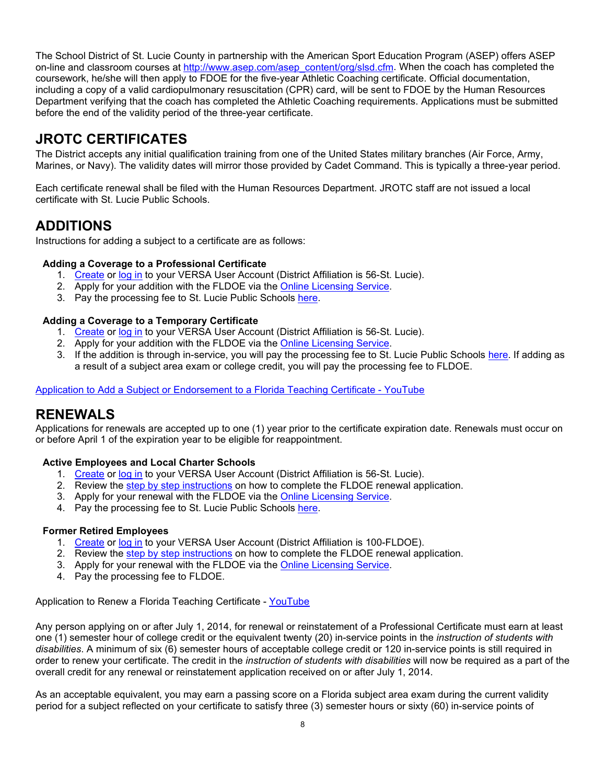The School District of St. Lucie County in partnership with the American Sport Education Program (ASEP) offers ASEP on-line and classroom courses at [http://www.asep.com/asep\\_content/org/slsd.cfm.](http://www.asep.com/asep_content/org/slsd.cfm) When the coach has completed the coursework, he/she will then apply to FDOE for the five-year Athletic Coaching certificate. Official documentation, including a copy of a valid cardiopulmonary resuscitation (CPR) card, will be sent to FDOE by the Human Resources Department verifying that the coach has completed the Athletic Coaching requirements. Applications must be submitted before the end of the validity period of the three-year certificate.

## **JROTC CERTIFICATES**

The District accepts any initial qualification training from one of the United States military branches (Air Force, Army, Marines, or Navy). The validity dates will mirror those provided by Cadet Command. This is typically a three-year period.

Each certificate renewal shall be filed with the Human Resources Department. JROTC staff are not issued a local certificate with St. Lucie Public Schools.

## **ADDITIONS**

Instructions for adding a subject to a certificate are as follows:

## **Adding a Coverage to a Professional Certificate**

- 1. [Create](https://flcertify.fldoe.org/datamart/registration.do?from=loginPage) or [log in](https://flcertify.fldoe.org/datamart/mainMenu.do;jsessionid=4Gk65Wx8SRwJ6WwYHwnmUA5ZAHZ4RE1MHr_z2q6P.bec-pveronl01) to your VERSA User Account (District Affiliation is 56-St. Lucie).
- 2. Apply for your addition with the FLDOE via the [Online Licensing Service.](https://flcertify.fldoe.org/datamart/login.do)
- 3. Pay the processing fee to St. Lucie Public Schools [here.](https://stlucie.revtrak.net/Certification/#/v/Certification-Addition-Fee-4)

## **Adding a Coverage to a Temporary Certificate**

- 1. [Create](https://flcertify.fldoe.org/datamart/registration.do?from=loginPage) or [log in](https://flcertify.fldoe.org/datamart/mainMenu.do;jsessionid=4Gk65Wx8SRwJ6WwYHwnmUA5ZAHZ4RE1MHr_z2q6P.bec-pveronl01) to your VERSA User Account (District Affiliation is 56-St. Lucie).
- 2. Apply for your addition with the FLDOE via the [Online Licensing Service.](https://flcertify.fldoe.org/datamart/login.do)
- 3. If the addition is through in-service, you will pay the processing fee to St. Lucie Public Schools [here.](https://stlucie.revtrak.net/Certification/#/v/Certification-Addition-Fee-4) If adding as a result of a subject area exam or college credit, you will pay the processing fee to FLDOE.

[Application to Add a Subject or Endorsement to a Florida Teaching Certificate -](https://www.youtube.com/watch?v=oOHonlT-ptQ) YouTube

## **RENEWALS**

Applications for renewals are accepted up to one (1) year prior to the certificate expiration date. Renewals must occur on or before April 1 of the expiration year to be eligible for reappointment.

## **Active Employees and Local Charter Schools**

- 1. [Create](https://flcertify.fldoe.org/datamart/registration.do?from=loginPage) or [log in](https://flcertify.fldoe.org/datamart/mainMenu.do;jsessionid=4Gk65Wx8SRwJ6WwYHwnmUA5ZAHZ4RE1MHr_z2q6P.bec-pveronl01) to your VERSA User Account (District Affiliation is 56-St. Lucie).
- 2. Review the [step by step instructions](http://www.stlucie.k12.fl.us/pdf/departments/human-resources/InstructionsforRenewalApplicationProcess_Internal.pdf) on how to complete the FLDOE renewal application.
- 3. Apply for your renewal with the FLDOE via the [Online Licensing Service.](https://flcertify.fldoe.org/datamart/login.do)
- 4. Pay the processing fee to St. Lucie Public Schools [here.](https://stlucie.revtrak.net/Certification/#/v/Recertification-Renewal-Fee-3)

## **Former Retired Employees**

- 1. [Create](https://flcertify.fldoe.org/datamart/registration.do?from=loginPage) or [log in](https://flcertify.fldoe.org/datamart/mainMenu.do;jsessionid=4Gk65Wx8SRwJ6WwYHwnmUA5ZAHZ4RE1MHr_z2q6P.bec-pveronl01) to your VERSA User Account (District Affiliation is 100-FLDOE).
- 2. Review the [step by step instructions](http://www.stlucie.k12.fl.us/pdf/departments/human-resources/InstructionsforRenewalApplicationProcess_External.pdf) on how to complete the FLDOE renewal application.
- 3. Apply for your renewal with the FLDOE via the [Online Licensing Service.](https://flcertify.fldoe.org/datamart/login.do)
- 4. Pay the processing fee to FLDOE.

Application to Renew a Florida Teaching Certificate - [YouTube](https://www.youtube.com/embed/5qtDl7dgF7I)

Any person applying on or after July 1, 2014, for renewal or reinstatement of a Professional Certificate must earn at least one (1) semester hour of college credit or the equivalent twenty (20) in-service points in the *instruction of students with disabilities*. A minimum of six (6) semester hours of acceptable college credit or 120 in-service points is still required in order to renew your certificate. The credit in the *instruction of students with disabilities* will now be required as a part of the overall credit for any renewal or reinstatement application received on or after July 1, 2014.

As an acceptable equivalent, you may earn a passing score on a Florida subject area exam during the current validity period for a subject reflected on your certificate to satisfy three (3) semester hours or sixty (60) in-service points of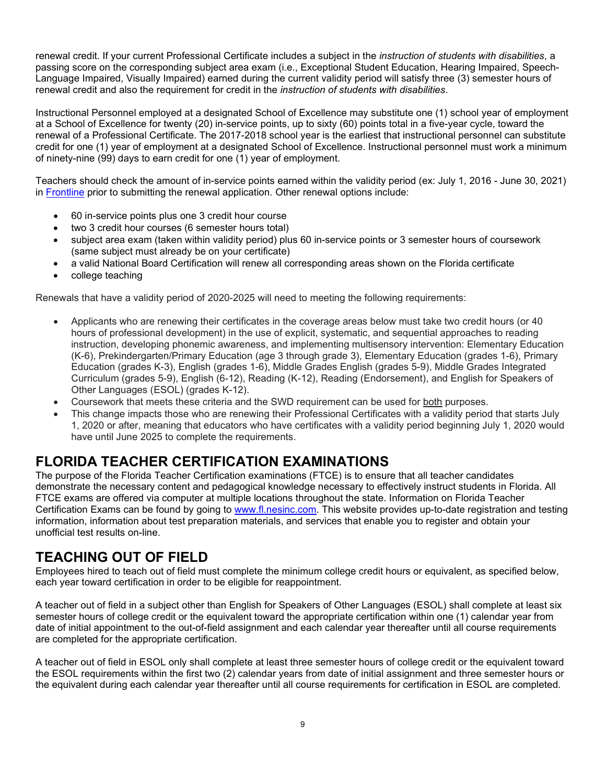renewal credit. If your current Professional Certificate includes a subject in the *instruction of students with disabilities*, a passing score on the corresponding subject area exam (i.e., Exceptional Student Education, Hearing Impaired, Speech-Language Impaired, Visually Impaired) earned during the current validity period will satisfy three (3) semester hours of renewal credit and also the requirement for credit in the *instruction of students with disabilities*.

Instructional Personnel employed at a designated School of Excellence may substitute one (1) school year of employment at a School of Excellence for twenty (20) in-service points, up to sixty (60) points total in a five-year cycle, toward the renewal of a Professional Certificate. The 2017-2018 school year is the earliest that instructional personnel can substitute credit for one (1) year of employment at a designated School of Excellence. Instructional personnel must work a minimum of ninety-nine (99) days to earn credit for one (1) year of employment.

Teachers should check the amount of in-service points earned within the validity period (ex: July 1, 2016 - June 30, 2021) in [Frontline](https://login.frontlineeducation.com/login?signin=b021e73eb9cd93a59769de38e20b7d84&productId=pd&clientId=pd#/login) prior to submitting the renewal application. Other renewal options include:

- 60 in-service points plus one 3 credit hour course
- two 3 credit hour courses (6 semester hours total)
- subject area exam (taken within validity period) plus 60 in-service points or 3 semester hours of coursework (same subject must already be on your certificate)
- a valid National Board Certification will renew all corresponding areas shown on the Florida certificate
- college teaching

Renewals that have a validity period of 2020-2025 will need to meeting the following requirements:

- Applicants who are renewing their certificates in the coverage areas below must take two credit hours (or 40 hours of professional development) in the use of explicit, systematic, and sequential approaches to reading instruction, developing phonemic awareness, and implementing multisensory intervention: Elementary Education (K-6), Prekindergarten/Primary Education (age 3 through grade 3), Elementary Education (grades 1-6), Primary Education (grades K-3), English (grades 1-6), Middle Grades English (grades 5-9), Middle Grades Integrated Curriculum (grades 5-9), English (6-12), Reading (K-12), Reading (Endorsement), and English for Speakers of Other Languages (ESOL) (grades K-12).
- Coursework that meets these criteria and the SWD requirement can be used for both purposes.
- This change impacts those who are renewing their Professional Certificates with a validity period that starts July 1, 2020 or after, meaning that educators who have certificates with a validity period beginning July 1, 2020 would have until June 2025 to complete the requirements.

## **FLORIDA TEACHER CERTIFICATION EXAMINATIONS**

The purpose of the Florida Teacher Certification examinations (FTCE) is to ensure that all teacher candidates demonstrate the necessary content and pedagogical knowledge necessary to effectively instruct students in Florida. All FTCE exams are offered via computer at multiple locations throughout the state. Information on Florida Teacher Certification Exams can be found by going to [www.fl.nesinc.com.](http://www.fl.nesinc.com/) This website provides up-to-date registration and testing information, information about test preparation materials, and services that enable you to register and obtain your unofficial test results on-line.

## **TEACHING OUT OF FIELD**

Employees hired to teach out of field must complete the minimum college credit hours or equivalent, as specified below, each year toward certification in order to be eligible for reappointment.

A teacher out of field in a subject other than English for Speakers of Other Languages (ESOL) shall complete at least six semester hours of college credit or the equivalent toward the appropriate certification within one (1) calendar year from date of initial appointment to the out-of-field assignment and each calendar year thereafter until all course requirements are completed for the appropriate certification.

A teacher out of field in ESOL only shall complete at least three semester hours of college credit or the equivalent toward the ESOL requirements within the first two (2) calendar years from date of initial assignment and three semester hours or the equivalent during each calendar year thereafter until all course requirements for certification in ESOL are completed.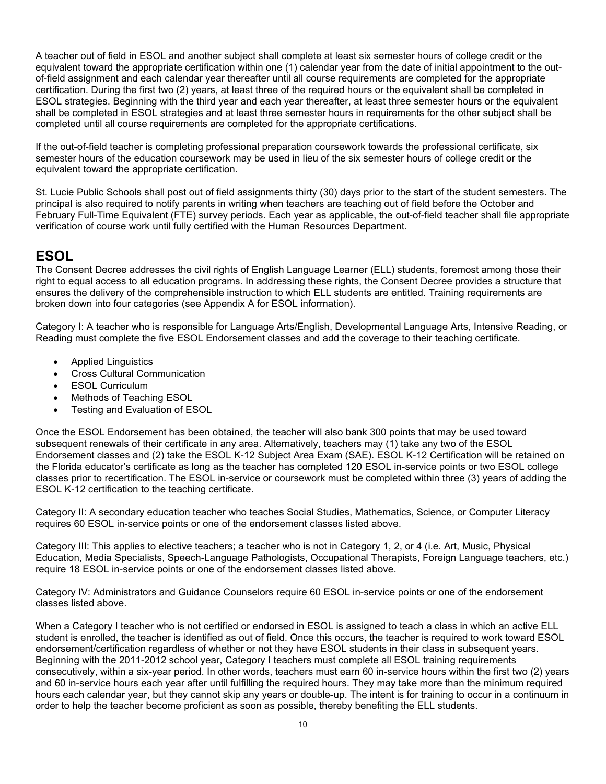A teacher out of field in ESOL and another subject shall complete at least six semester hours of college credit or the equivalent toward the appropriate certification within one (1) calendar year from the date of initial appointment to the outof-field assignment and each calendar year thereafter until all course requirements are completed for the appropriate certification. During the first two (2) years, at least three of the required hours or the equivalent shall be completed in ESOL strategies. Beginning with the third year and each year thereafter, at least three semester hours or the equivalent shall be completed in ESOL strategies and at least three semester hours in requirements for the other subject shall be completed until all course requirements are completed for the appropriate certifications.

If the out-of-field teacher is completing professional preparation coursework towards the professional certificate, six semester hours of the education coursework may be used in lieu of the six semester hours of college credit or the equivalent toward the appropriate certification.

St. Lucie Public Schools shall post out of field assignments thirty (30) days prior to the start of the student semesters. The principal is also required to notify parents in writing when teachers are teaching out of field before the October and February Full-Time Equivalent (FTE) survey periods. Each year as applicable, the out-of-field teacher shall file appropriate verification of course work until fully certified with the Human Resources Department.

## **ESOL**

The Consent Decree addresses the civil rights of English Language Learner (ELL) students, foremost among those their right to equal access to all education programs. In addressing these rights, the Consent Decree provides a structure that ensures the delivery of the comprehensible instruction to which ELL students are entitled. Training requirements are broken down into four categories (see Appendix A for ESOL information).

Category I: A teacher who is responsible for Language Arts/English, Developmental Language Arts, Intensive Reading, or Reading must complete the five ESOL Endorsement classes and add the coverage to their teaching certificate.

- Applied Linguistics
- Cross Cultural Communication
- **ESOL Curriculum**
- Methods of Teaching ESOL
- Testing and Evaluation of ESOL

Once the ESOL Endorsement has been obtained, the teacher will also bank 300 points that may be used toward subsequent renewals of their certificate in any area. Alternatively, teachers may (1) take any two of the ESOL Endorsement classes and (2) take the ESOL K-12 Subject Area Exam (SAE). ESOL K-12 Certification will be retained on the Florida educator's certificate as long as the teacher has completed 120 ESOL in-service points or two ESOL college classes prior to recertification. The ESOL in-service or coursework must be completed within three (3) years of adding the ESOL K-12 certification to the teaching certificate.

Category II: A secondary education teacher who teaches Social Studies, Mathematics, Science, or Computer Literacy requires 60 ESOL in-service points or one of the endorsement classes listed above.

Category III: This applies to elective teachers; a teacher who is not in Category 1, 2, or 4 (i.e. Art, Music, Physical Education, Media Specialists, Speech-Language Pathologists, Occupational Therapists, Foreign Language teachers, etc.) require 18 ESOL in-service points or one of the endorsement classes listed above.

Category IV: Administrators and Guidance Counselors require 60 ESOL in-service points or one of the endorsement classes listed above.

When a Category I teacher who is not certified or endorsed in ESOL is assigned to teach a class in which an active ELL student is enrolled, the teacher is identified as out of field. Once this occurs, the teacher is required to work toward ESOL endorsement/certification regardless of whether or not they have ESOL students in their class in subsequent years. Beginning with the 2011-2012 school year, Category I teachers must complete all ESOL training requirements consecutively, within a six-year period. In other words, teachers must earn 60 in-service hours within the first two (2) years and 60 in-service hours each year after until fulfilling the required hours. They may take more than the minimum required hours each calendar year, but they cannot skip any years or double-up. The intent is for training to occur in a continuum in order to help the teacher become proficient as soon as possible, thereby benefiting the ELL students.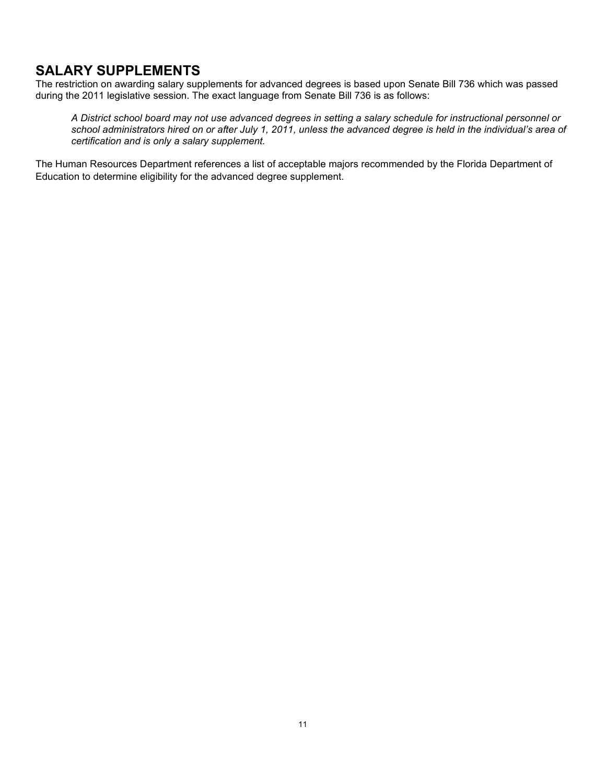## **SALARY SUPPLEMENTS**

The restriction on awarding salary supplements for advanced degrees is based upon Senate Bill 736 which was passed during the 2011 legislative session. The exact language from Senate Bill 736 is as follows:

*A District school board may not use advanced degrees in setting a salary schedule for instructional personnel or school administrators hired on or after July 1, 2011, unless the advanced degree is held in the individual's area of certification and is only a salary supplement.*

The Human Resources Department references a list of acceptable majors recommended by the Florida Department of Education to determine eligibility for the advanced degree supplement.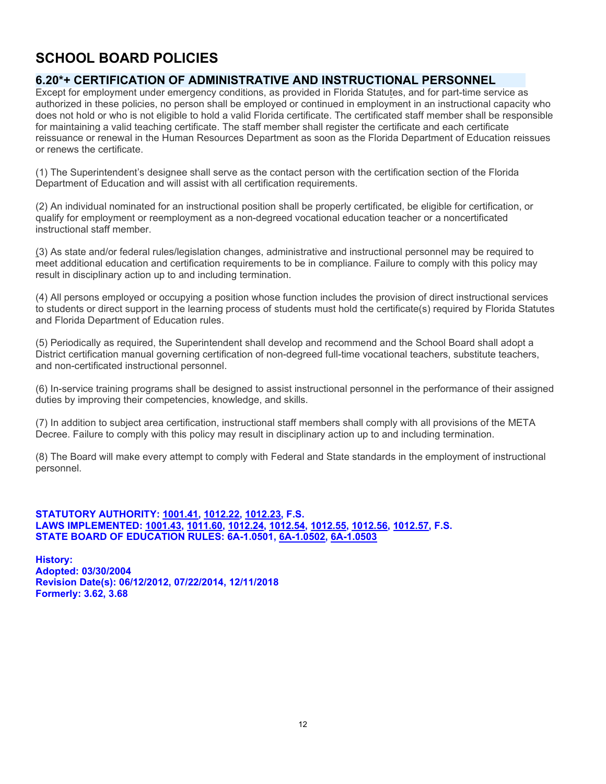## **SCHOOL BOARD POLICIES**

## **6.20\*+ CERTIFICATION OF ADMINISTRATIVE AND INSTRUCTIONAL PERSONNEL**

Except for employment under emergency conditions, as provided in Florida Statutes, and for part-time service as authorized in these policies, no person shall be employed or continued in employment in an instructional capacity who does not hold or who is not eligible to hold a valid Florida certificate. The certificated staff member shall be responsible for maintaining a valid teaching certificate. The staff member shall register the certificate and each certificate reissuance or renewal in the Human Resources Department as soon as the Florida Department of Education reissues or renews the certificate.

(1) The Superintendent's designee shall serve as the contact person with the certification section of the Florida Department of Education and will assist with all certification requirements.

(2) An individual nominated for an instructional position shall be properly certificated, be eligible for certification, or qualify for employment or reemployment as a non-degreed vocational education teacher or a noncertificated instructional staff member.

(3) As state and/or federal rules/legislation changes, administrative and instructional personnel may be required to meet additional education and certification requirements to be in compliance. Failure to comply with this policy may result in disciplinary action up to and including termination.

(4) All persons employed or occupying a position whose function includes the provision of direct instructional services to students or direct support in the learning process of students must hold the certificate(s) required by Florida Statutes and Florida Department of Education rules.

(5) Periodically as required, the Superintendent shall develop and recommend and the School Board shall adopt a District certification manual governing certification of non-degreed full-time vocational teachers, substitute teachers, and non-certificated instructional personnel.

(6) In-service training programs shall be designed to assist instructional personnel in the performance of their assigned duties by improving their competencies, knowledge, and skills.

(7) In addition to subject area certification, instructional staff members shall comply with all provisions of the META Decree. Failure to comply with this policy may result in disciplinary action up to and including termination.

(8) The Board will make every attempt to comply with Federal and State standards in the employment of instructional personnel.

## **STATUTORY AUTHORITY: [1001.41,](http://www.leg.state.fl.us/statutes/index.cfm?App_mode=Display_Statute&Search_String=&URL=1000-1099/1001/Sections/1001.41.html) [1012.22,](http://www.leg.state.fl.us/statutes/index.cfm?App_mode=Display_Statute&Search_String=&URL=1000-1099/1012/Sections/1012.22.html) [1012.23,](http://www.leg.state.fl.us/statutes/index.cfm?App_mode=Display_Statute&Search_String=&URL=1000-1099/1012/Sections/1012.23.html) F.S. LAWS IMPLEMENTED: [1001.43,](http://www.leg.state.fl.us/statutes/index.cfm?App_mode=Display_Statute&Search_String=&URL=1000-1099/1001/Sections/1001.43.html) [1011.60,](http://www.leg.state.fl.us/statutes/index.cfm?App_mode=Display_Statute&Search_String=&URL=1000-1099/1011/Sections/1011.60.html) [1012.24,](http://www.leg.state.fl.us/statutes/index.cfm?App_mode=Display_Statute&Search_String=&URL=1000-1099/1012/Sections/1012.24.html) [1012.54,](http://www.leg.state.fl.us/statutes/index.cfm?App_mode=Display_Statute&Search_String=&URL=1000-1099/1012/Sections/1012.54.html) [1012.55,](http://www.leg.state.fl.us/statutes/index.cfm?App_mode=Display_Statute&Search_String=&URL=1000-1099/1012/Sections/1012.55.html) [1012.56,](http://www.leg.state.fl.us/statutes/index.cfm?App_mode=Display_Statute&Search_String=&URL=1000-1099/1012/Sections/1012.56.html) [1012.57,](http://www.leg.state.fl.us/statutes/index.cfm?App_mode=Display_Statute&Search_String=&URL=1000-1099/1012/Sections/1012.57.html) F.S. STATE BOARD OF EDUCATION RULES: 6A-1.0501, [6A-1.0502,](https://www.flrules.org/gateway/ruleno.asp?id=6A-1.0502) [6A-1.0503](https://www.flrules.org/gateway/ruleNo.asp?ID=6A-1.0503)**

**History: Adopted: 03/30/2004 Revision Date(s): 06/12/2012, 07/22/2014, 12/11/2018 Formerly: 3.62, 3.68**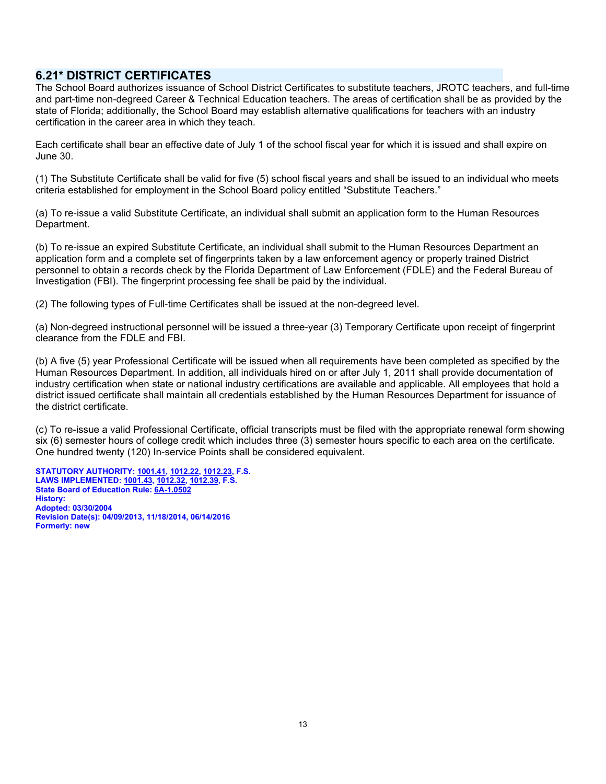## **6.21\* DISTRICT CERTIFICATES**

The School Board authorizes issuance of School District Certificates to substitute teachers, JROTC teachers, and full-time and part-time non-degreed Career & Technical Education teachers. The areas of certification shall be as provided by the state of Florida; additionally, the School Board may establish alternative qualifications for teachers with an industry certification in the career area in which they teach.

Each certificate shall bear an effective date of July 1 of the school fiscal year for which it is issued and shall expire on June 30.

(1) The Substitute Certificate shall be valid for five (5) school fiscal years and shall be issued to an individual who meets criteria established for employment in the School Board policy entitled "Substitute Teachers."

(a) To re-issue a valid Substitute Certificate, an individual shall submit an application form to the Human Resources Department.

(b) To re-issue an expired Substitute Certificate, an individual shall submit to the Human Resources Department an application form and a complete set of fingerprints taken by a law enforcement agency or properly trained District personnel to obtain a records check by the Florida Department of Law Enforcement (FDLE) and the Federal Bureau of Investigation (FBI). The fingerprint processing fee shall be paid by the individual.

(2) The following types of Full-time Certificates shall be issued at the non-degreed level.

(a) Non-degreed instructional personnel will be issued a three-year (3) Temporary Certificate upon receipt of fingerprint clearance from the FDLE and FBI.

(b) A five (5) year Professional Certificate will be issued when all requirements have been completed as specified by the Human Resources Department. In addition, all individuals hired on or after July 1, 2011 shall provide documentation of industry certification when state or national industry certifications are available and applicable. All employees that hold a district issued certificate shall maintain all credentials established by the Human Resources Department for issuance of the district certificate.

(c) To re-issue a valid Professional Certificate, official transcripts must be filed with the appropriate renewal form showing six (6) semester hours of college credit which includes three (3) semester hours specific to each area on the certificate. One hundred twenty (120) In-service Points shall be considered equivalent.

**STATUTORY AUTHORITY[: 1001.41,](http://www.leg.state.fl.us/statutes/index.cfm?App_mode=Display_Statute&Search_String=&URL=1000-1099/1001/Sections/1001.41.html) [1012.22,](http://www.leg.state.fl.us/statutes/index.cfm?App_mode=Display_Statute&Search_String=&URL=1000-1099/1012/Sections/1012.22.html) [1012.23,](http://www.leg.state.fl.us/statutes/index.cfm?App_mode=Display_Statute&Search_String=&URL=1000-1099/1012/Sections/1012.23.html) F.S. LAWS IMPLEMENTED: [1001.43,](http://www.leg.state.fl.us/statutes/index.cfm?App_mode=Display_Statute&Search_String=&URL=1000-1099/1001/Sections/1001.43.html) [1012.32,](http://www.leg.state.fl.us/statutes/index.cfm?App_mode=Display_Statute&Search_String=&URL=1000-1099/1012/Sections/1012.32.html) [1012.39,](http://www.leg.state.fl.us/statutes/index.cfm?App_mode=Display_Statute&Search_String=&URL=1000-1099/1012/Sections/1012.39.html) F.S. State Board of Education Rule: [6A-1.0502](https://www.google.com/url?sa=t&rct=j&q=&esrc=s&source=web&cd=1&cad=rja&uact=8&ved=0ahUKEwiFo5mA9fjMAhURQFIKHRXIAewQFggcMAA&url=https%3A%2F%2Fwww.flrules.org%2Fgateway%2Fruleno.asp%3Fid%3D6A-1.0502&usg=AFQjCNFwXUy2G62T99L3teFVbgUKICP5xg&sig2=Aimu_xysNPiuGSLrJbkO-Q&bvm=bv.122676328,d.aXo) History: Adopted: 03/30/2004 Revision Date(s): 04/09/2013, 11/18/2014, 06/14/2016 Formerly: new**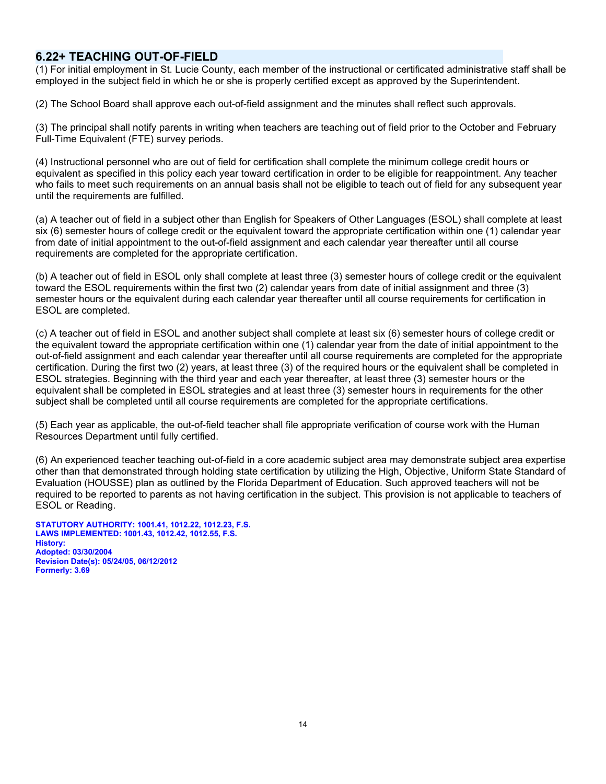## **6.22+ TEACHING OUT-OF-FIELD**

(1) For initial employment in St. Lucie County, each member of the instructional or certificated administrative staff shall be employed in the subject field in which he or she is properly certified except as approved by the Superintendent.

(2) The School Board shall approve each out-of-field assignment and the minutes shall reflect such approvals.

(3) The principal shall notify parents in writing when teachers are teaching out of field prior to the October and February Full-Time Equivalent (FTE) survey periods.

(4) Instructional personnel who are out of field for certification shall complete the minimum college credit hours or equivalent as specified in this policy each year toward certification in order to be eligible for reappointment. Any teacher who fails to meet such requirements on an annual basis shall not be eligible to teach out of field for any subsequent year until the requirements are fulfilled.

(a) A teacher out of field in a subject other than English for Speakers of Other Languages (ESOL) shall complete at least six (6) semester hours of college credit or the equivalent toward the appropriate certification within one (1) calendar year from date of initial appointment to the out-of-field assignment and each calendar year thereafter until all course requirements are completed for the appropriate certification.

(b) A teacher out of field in ESOL only shall complete at least three (3) semester hours of college credit or the equivalent toward the ESOL requirements within the first two (2) calendar years from date of initial assignment and three (3) semester hours or the equivalent during each calendar year thereafter until all course requirements for certification in ESOL are completed.

(c) A teacher out of field in ESOL and another subject shall complete at least six (6) semester hours of college credit or the equivalent toward the appropriate certification within one (1) calendar year from the date of initial appointment to the out-of-field assignment and each calendar year thereafter until all course requirements are completed for the appropriate certification. During the first two (2) years, at least three (3) of the required hours or the equivalent shall be completed in ESOL strategies. Beginning with the third year and each year thereafter, at least three (3) semester hours or the equivalent shall be completed in ESOL strategies and at least three (3) semester hours in requirements for the other subject shall be completed until all course requirements are completed for the appropriate certifications.

(5) Each year as applicable, the out-of-field teacher shall file appropriate verification of course work with the Human Resources Department until fully certified.

(6) An experienced teacher teaching out-of-field in a core academic subject area may demonstrate subject area expertise other than that demonstrated through holding state certification by utilizing the High, Objective, Uniform State Standard of Evaluation (HOUSSE) plan as outlined by the Florida Department of Education. Such approved teachers will not be required to be reported to parents as not having certification in the subject. This provision is not applicable to teachers of ESOL or Reading.

**STATUTORY AUTHORITY: 1001.41, 1012.22, 1012.23, F.S. LAWS IMPLEMENTED: 1001.43, 1012.42, 1012.55, F.S. History: Adopted: 03/30/2004 Revision Date(s): 05/24/05, 06/12/2012 Formerly: 3.69**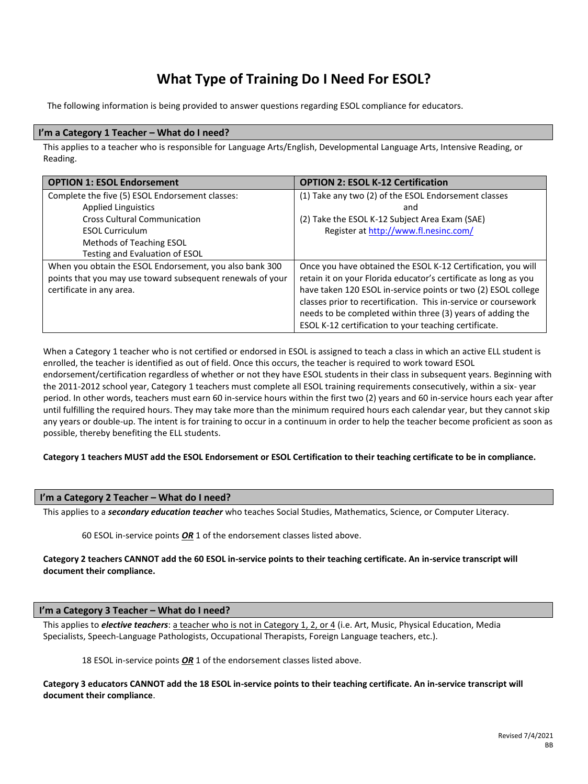## **What Type of Training Do I Need For ESOL?**

The following information is being provided to answer questions regarding ESOL compliance for educators.

### **I'm a Category 1 Teacher – What do I need?**

This applies to a teacher who is responsible for Language Arts/English, Developmental Language Arts, Intensive Reading, or Reading.

| <b>OPTION 1: ESOL Endorsement</b>                          | <b>OPTION 2: ESOL K-12 Certification</b>                        |
|------------------------------------------------------------|-----------------------------------------------------------------|
| Complete the five (5) ESOL Endorsement classes:            | (1) Take any two (2) of the ESOL Endorsement classes            |
| <b>Applied Linguistics</b>                                 | and                                                             |
| <b>Cross Cultural Communication</b>                        | (2) Take the ESOL K-12 Subject Area Exam (SAE)                  |
| <b>ESOL Curriculum</b>                                     | Register at http://www.fl.nesinc.com/                           |
| Methods of Teaching ESOL                                   |                                                                 |
| Testing and Evaluation of ESOL                             |                                                                 |
| When you obtain the ESOL Endorsement, you also bank 300    | Once you have obtained the ESOL K-12 Certification, you will    |
| points that you may use toward subsequent renewals of your | retain it on your Florida educator's certificate as long as you |
| certificate in any area.                                   | have taken 120 ESOL in-service points or two (2) ESOL college   |
|                                                            | classes prior to recertification. This in-service or coursework |
|                                                            | needs to be completed within three (3) years of adding the      |
|                                                            | ESOL K-12 certification to your teaching certificate.           |

When a Category 1 teacher who is not certified or endorsed in ESOL is assigned to teach a class in which an active ELL student is enrolled, the teacher is identified as out of field. Once this occurs, the teacher is required to work toward ESOL endorsement/certification regardless of whether or not they have ESOL students in their class in subsequent years. Beginning with the 2011-2012 school year, Category 1 teachers must complete all ESOL training requirements consecutively, within a six- year period. In other words, teachers must earn 60 in-service hours within the first two (2) years and 60 in-service hours each year after until fulfilling the required hours. They may take more than the minimum required hours each calendar year, but they cannot skip any years or double-up. The intent is for training to occur in a continuum in order to help the teacher become proficient as soon as possible, thereby benefiting the ELL students.

#### **Category 1 teachers MUST add the ESOL Endorsement or ESOL Certification to their teaching certificate to be in compliance.**

## **I'm a Category 2 Teacher – What do I need?**

This applies to a *secondary education teacher* who teaches Social Studies, Mathematics, Science, or Computer Literacy.

60 ESOL in-service points *OR* 1 of the endorsement classes listed above.

**Category 2 teachers CANNOT add the 60 ESOL in-service points to their teaching certificate. An in-service transcript will document their compliance.**

#### **I'm a Category 3 Teacher – What do I need?**

This applies to *elective teachers*: a teacher who is not in Category 1, 2, or 4 (i.e. Art, Music, Physical Education, Media Specialists, Speech-Language Pathologists, Occupational Therapists, Foreign Language teachers, etc.).

18 ESOL in-service points *OR* 1 of the endorsement classes listed above.

**Category 3 educators CANNOT add the 18 ESOL in-service points to their teaching certificate. An in-service transcript will document their compliance**.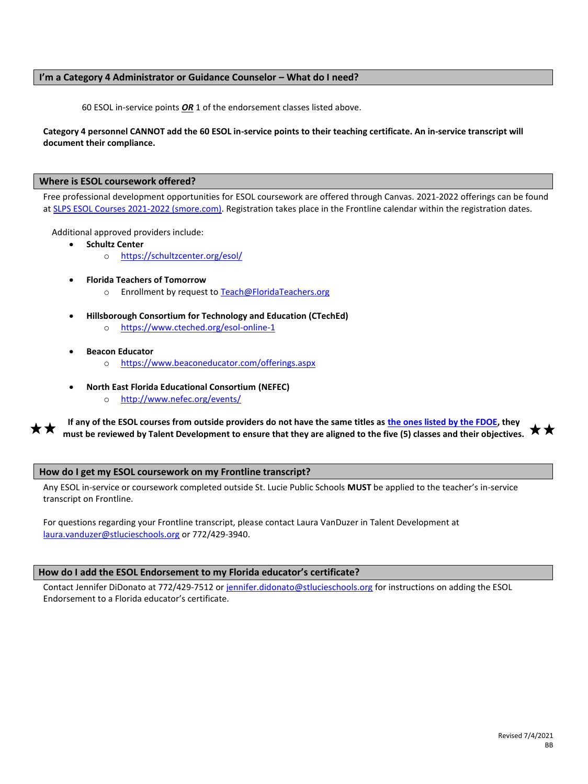### **I'm a Category 4 Administrator or Guidance Counselor – What do I need?**

60 ESOL in-service points *OR* 1 of the endorsement classes listed above.

### **Category 4 personnel CANNOT add the 60 ESOL in-service points to their teaching certificate. An in-service transcript will document their compliance.**

#### **Where is ESOL coursework offered?**

Free professional development opportunities for ESOL coursework are offered through Canvas. 2021-2022 offerings can be found a[t SLPS ESOL Courses 2021-2022 \(smore.com\).](https://www.smore.com/w79us) Registration takes place in the Frontline calendar within the registration dates.

Additional approved providers include:

- **Schultz Center**
	- o <https://schultzcenter.org/esol/>
- **Florida Teachers of Tomorrow**
	- o Enrollment by request t[o Teach@FloridaTeachers.org](mailto:Teach@FloridaTeachers.org)
- **Hillsborough Consortium for Technology and Education (CTechEd)**
	- o <https://www.cteched.org/esol-online-1>
- **Beacon Educator**
	- o <https://www.beaconeducator.com/offerings.aspx>
- **North East Florida Educational Consortium (NEFEC)**
	- o <http://www.nefec.org/events/>

**If any of the ESOL courses from outside providers do not have the same titles as [the ones listed by the FDOE,](http://www.fldoe.org/teaching/certification/administrative-rules/6a-4-0244.stml) they must be reviewed by Talent Development to ensure that they are aligned to the five (5) classes and their objectives.**

#### **How do I get my ESOL coursework on my Frontline transcript?**

Any ESOL in-service or coursework completed outside St. Lucie Public Schools **MUST** be applied to the teacher's in-service transcript on Frontline.

For questions regarding your Frontline transcript, please contact Laura VanDuzer in Talent Development at [laura.vanduzer@stlucieschools.org](mailto:laura.vanduzer@stlucieschools.org) or 772/429-3940.

#### **How do I add the ESOL Endorsement to my Florida educator's certificate?**

Contact Jennifer DiDonato at 772/429-7512 o[r jennifer.didonato@stlucieschools.org](mailto:jennifer.didonato@stlucieschools.org) for instructions on adding the ESOL Endorsement to a Florida educator's certificate.